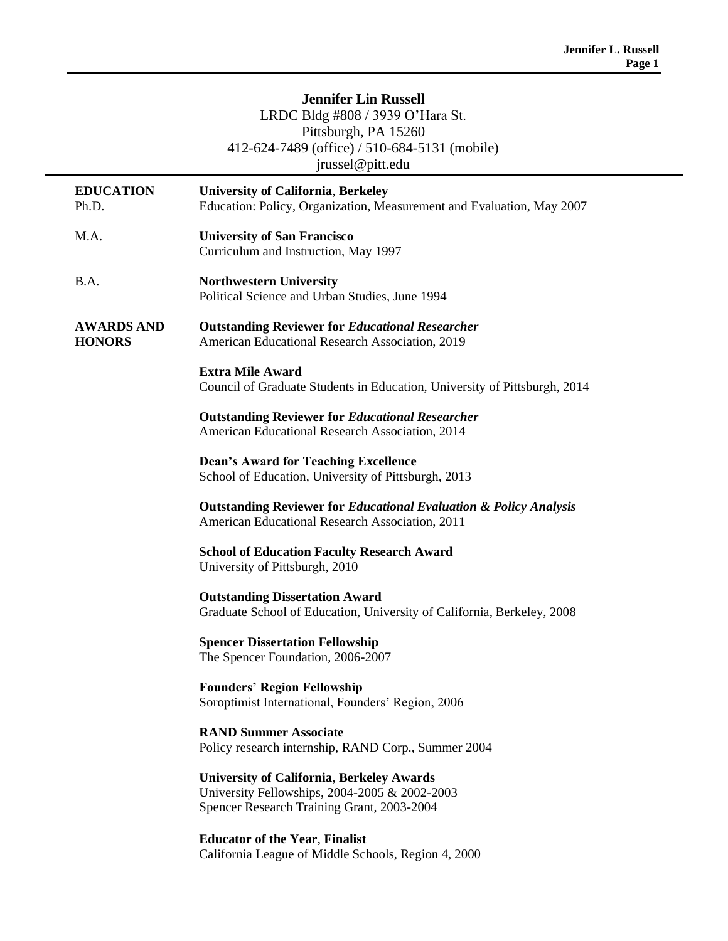# **Jennifer Lin Russell** LRDC Bldg #808 / 3939 O'Hara St. Pittsburgh, PA 15260 412-624-7489 (office) / 510-684-5131 (mobile) jrussel@pitt.edu

| <b>EDUCATION</b><br>Ph.D.          | <b>University of California, Berkeley</b><br>Education: Policy, Organization, Measurement and Evaluation, May 2007                              |
|------------------------------------|-------------------------------------------------------------------------------------------------------------------------------------------------|
| M.A.                               | <b>University of San Francisco</b><br>Curriculum and Instruction, May 1997                                                                      |
| B.A.                               | <b>Northwestern University</b><br>Political Science and Urban Studies, June 1994                                                                |
| <b>AWARDS AND</b><br><b>HONORS</b> | <b>Outstanding Reviewer for Educational Researcher</b><br>American Educational Research Association, 2019                                       |
|                                    | <b>Extra Mile Award</b><br>Council of Graduate Students in Education, University of Pittsburgh, 2014                                            |
|                                    | <b>Outstanding Reviewer for Educational Researcher</b><br>American Educational Research Association, 2014                                       |
|                                    | <b>Dean's Award for Teaching Excellence</b><br>School of Education, University of Pittsburgh, 2013                                              |
|                                    | <b>Outstanding Reviewer for Educational Evaluation &amp; Policy Analysis</b><br>American Educational Research Association, 2011                 |
|                                    | <b>School of Education Faculty Research Award</b><br>University of Pittsburgh, 2010                                                             |
|                                    | <b>Outstanding Dissertation Award</b><br>Graduate School of Education, University of California, Berkeley, 2008                                 |
|                                    | <b>Spencer Dissertation Fellowship</b><br>The Spencer Foundation, 2006-2007                                                                     |
|                                    | <b>Founders' Region Fellowship</b><br>Soroptimist International, Founders' Region, 2006                                                         |
|                                    | <b>RAND Summer Associate</b><br>Policy research internship, RAND Corp., Summer 2004                                                             |
|                                    | <b>University of California, Berkeley Awards</b><br>University Fellowships, 2004-2005 & 2002-2003<br>Spencer Research Training Grant, 2003-2004 |
|                                    | <b>Educator of the Year, Finalist</b><br>California League of Middle Schools, Region 4, 2000                                                    |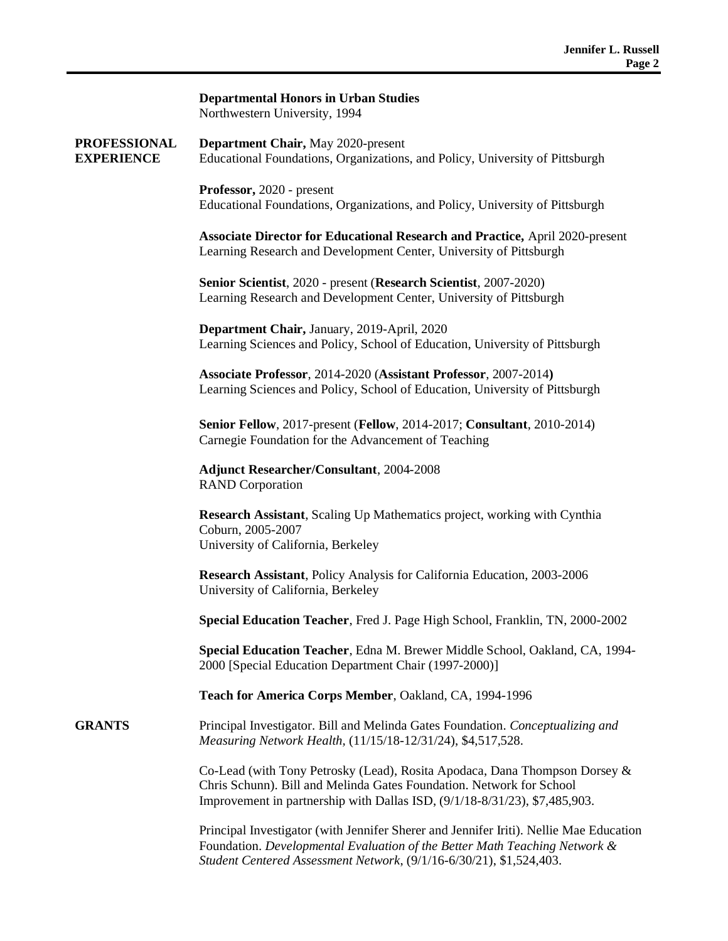|                                          | <b>Departmental Honors in Urban Studies</b><br>Northwestern University, 1994                                                                                                                                                                |
|------------------------------------------|---------------------------------------------------------------------------------------------------------------------------------------------------------------------------------------------------------------------------------------------|
| <b>PROFESSIONAL</b><br><b>EXPERIENCE</b> | Department Chair, May 2020-present<br>Educational Foundations, Organizations, and Policy, University of Pittsburgh                                                                                                                          |
|                                          | Professor, 2020 - present<br>Educational Foundations, Organizations, and Policy, University of Pittsburgh                                                                                                                                   |
|                                          | <b>Associate Director for Educational Research and Practice, April 2020-present</b><br>Learning Research and Development Center, University of Pittsburgh                                                                                   |
|                                          | Senior Scientist, 2020 - present (Research Scientist, 2007-2020)<br>Learning Research and Development Center, University of Pittsburgh                                                                                                      |
|                                          | Department Chair, January, 2019-April, 2020<br>Learning Sciences and Policy, School of Education, University of Pittsburgh                                                                                                                  |
|                                          | Associate Professor, 2014-2020 (Assistant Professor, 2007-2014)<br>Learning Sciences and Policy, School of Education, University of Pittsburgh                                                                                              |
|                                          | Senior Fellow, 2017-present (Fellow, 2014-2017; Consultant, 2010-2014)<br>Carnegie Foundation for the Advancement of Teaching                                                                                                               |
|                                          | <b>Adjunct Researcher/Consultant, 2004-2008</b><br><b>RAND</b> Corporation                                                                                                                                                                  |
|                                          | Research Assistant, Scaling Up Mathematics project, working with Cynthia<br>Coburn, 2005-2007<br>University of California, Berkeley                                                                                                         |
|                                          | Research Assistant, Policy Analysis for California Education, 2003-2006<br>University of California, Berkeley                                                                                                                               |
|                                          | Special Education Teacher, Fred J. Page High School, Franklin, TN, 2000-2002                                                                                                                                                                |
|                                          | Special Education Teacher, Edna M. Brewer Middle School, Oakland, CA, 1994-<br>2000 [Special Education Department Chair (1997-2000)]                                                                                                        |
|                                          | Teach for America Corps Member, Oakland, CA, 1994-1996                                                                                                                                                                                      |
| <b>GRANTS</b>                            | Principal Investigator. Bill and Melinda Gates Foundation. Conceptualizing and<br>Measuring Network Health, (11/15/18-12/31/24), \$4,517,528.                                                                                               |
|                                          | Co-Lead (with Tony Petrosky (Lead), Rosita Apodaca, Dana Thompson Dorsey &<br>Chris Schunn). Bill and Melinda Gates Foundation. Network for School<br>Improvement in partnership with Dallas ISD, (9/1/18-8/31/23), \$7,485,903.            |
|                                          | Principal Investigator (with Jennifer Sherer and Jennifer Iriti). Nellie Mae Education<br>Foundation. Developmental Evaluation of the Better Math Teaching Network &<br>Student Centered Assessment Network, (9/1/16-6/30/21), \$1,524,403. |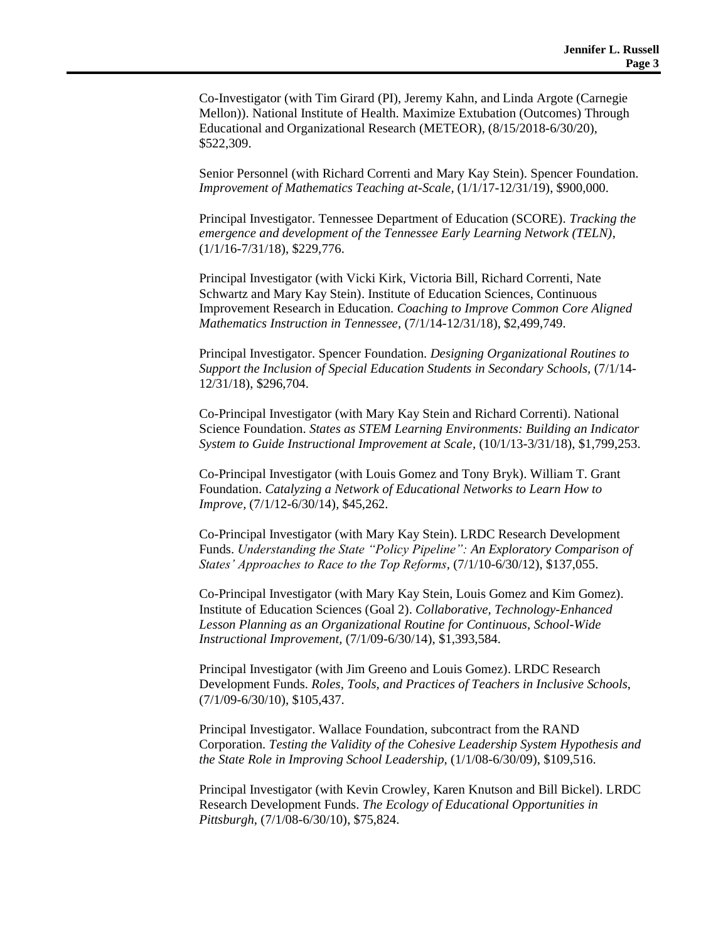Co-Investigator (with Tim Girard (PI), Jeremy Kahn, and Linda Argote (Carnegie Mellon)). National Institute of Health. Maximize Extubation (Outcomes) Through Educational and Organizational Research (METEOR), (8/15/2018-6/30/20), \$522,309.

Senior Personnel (with Richard Correnti and Mary Kay Stein). Spencer Foundation. *Improvement of Mathematics Teaching at-Scale,* (1/1/17-12/31/19), \$900,000.

Principal Investigator. Tennessee Department of Education (SCORE). *Tracking the emergence and development of the Tennessee Early Learning Network (TELN)*, (1/1/16-7/31/18), \$229,776.

Principal Investigator (with Vicki Kirk, Victoria Bill, Richard Correnti, Nate Schwartz and Mary Kay Stein). Institute of Education Sciences, Continuous Improvement Research in Education. *Coaching to Improve Common Core Aligned Mathematics Instruction in Tennessee,* (7/1/14-12/31/18), \$2,499,749.

Principal Investigator. Spencer Foundation. *Designing Organizational Routines to Support the Inclusion of Special Education Students in Secondary Schools,* (7/1/14- 12/31/18), \$296,704.

Co-Principal Investigator (with Mary Kay Stein and Richard Correnti). National Science Foundation. *States as STEM Learning Environments: Building an Indicator System to Guide Instructional Improvement at Scale,* (10/1/13-3/31/18), \$1,799,253.

Co-Principal Investigator (with Louis Gomez and Tony Bryk). William T. Grant Foundation. *Catalyzing a Network of Educational Networks to Learn How to Improve,* (7/1/12-6/30/14)*,* \$45,262.

Co-Principal Investigator (with Mary Kay Stein). LRDC Research Development Funds. *Understanding the State "Policy Pipeline": An Exploratory Comparison of States' Approaches to Race to the Top Reforms,* (7/1/10-6/30/12), \$137,055.

Co-Principal Investigator (with Mary Kay Stein, Louis Gomez and Kim Gomez). Institute of Education Sciences (Goal 2). *Collaborative, Technology-Enhanced Lesson Planning as an Organizational Routine for Continuous, School-Wide Instructional Improvement,* (7/1/09-6/30/14), \$1,393,584.

Principal Investigator (with Jim Greeno and Louis Gomez). LRDC Research Development Funds. *Roles, Tools, and Practices of Teachers in Inclusive Schools*, (7/1/09-6/30/10), \$105,437.

Principal Investigator. Wallace Foundation, subcontract from the RAND Corporation. *Testing the Validity of the Cohesive Leadership System Hypothesis and the State Role in Improving School Leadership,* (1/1/08-6/30/09), \$109,516.

Principal Investigator (with Kevin Crowley, Karen Knutson and Bill Bickel). LRDC Research Development Funds. *The Ecology of Educational Opportunities in Pittsburgh,* (7/1/08-6/30/10), \$75,824.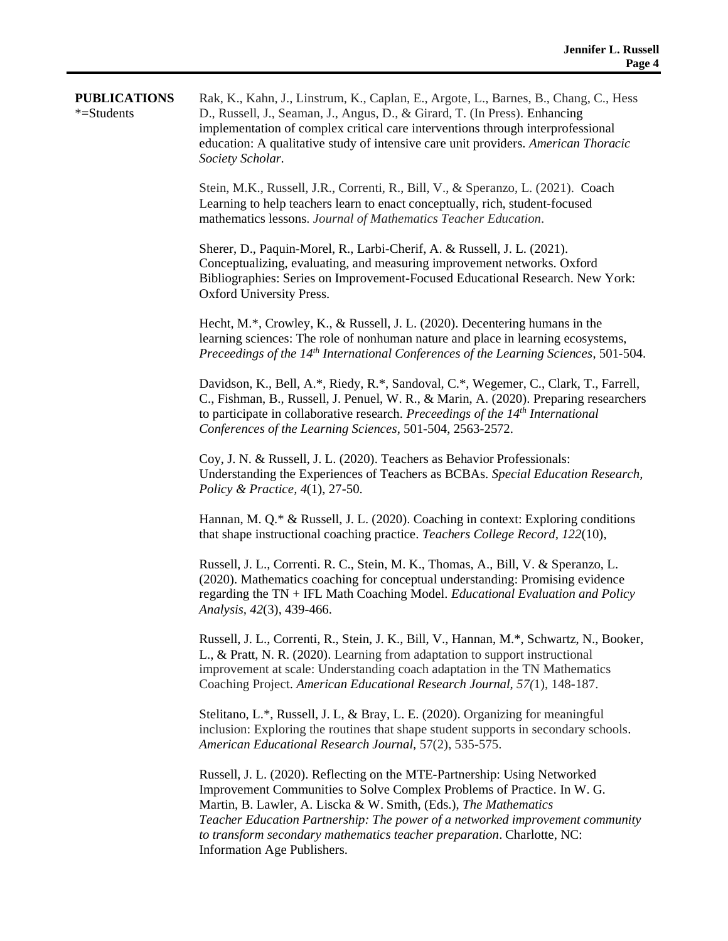| <b>PUBLICATIONS</b><br>*=Students | Rak, K., Kahn, J., Linstrum, K., Caplan, E., Argote, L., Barnes, B., Chang, C., Hess<br>D., Russell, J., Seaman, J., Angus, D., & Girard, T. (In Press). Enhancing<br>implementation of complex critical care interventions through interprofessional<br>education: A qualitative study of intensive care unit providers. American Thoracic<br>Society Scholar.                     |
|-----------------------------------|-------------------------------------------------------------------------------------------------------------------------------------------------------------------------------------------------------------------------------------------------------------------------------------------------------------------------------------------------------------------------------------|
|                                   | Stein, M.K., Russell, J.R., Correnti, R., Bill, V., & Speranzo, L. (2021). Coach<br>Learning to help teachers learn to enact conceptually, rich, student-focused<br>mathematics lessons. Journal of Mathematics Teacher Education.                                                                                                                                                  |
|                                   | Sherer, D., Paquin-Morel, R., Larbi-Cherif, A. & Russell, J. L. (2021).<br>Conceptualizing, evaluating, and measuring improvement networks. Oxford<br>Bibliographies: Series on Improvement-Focused Educational Research. New York:<br>Oxford University Press.                                                                                                                     |
|                                   | Hecht, M.*, Crowley, K., & Russell, J. L. (2020). Decentering humans in the<br>learning sciences: The role of nonhuman nature and place in learning ecosystems,<br>Preceedings of the 14 <sup>th</sup> International Conferences of the Learning Sciences, 501-504.                                                                                                                 |
|                                   | Davidson, K., Bell, A.*, Riedy, R.*, Sandoval, C.*, Wegemer, C., Clark, T., Farrell,<br>C., Fishman, B., Russell, J. Penuel, W. R., & Marin, A. (2020). Preparing researchers<br>to participate in collaborative research. Preceedings of the 14 <sup>th</sup> International<br>Conferences of the Learning Sciences, 501-504, 2563-2572.                                           |
|                                   | Coy, J. N. & Russell, J. L. (2020). Teachers as Behavior Professionals:<br>Understanding the Experiences of Teachers as BCBAs. Special Education Research,<br>Policy & Practice, $4(1)$ , 27-50.                                                                                                                                                                                    |
|                                   | Hannan, M. Q.* & Russell, J. L. (2020). Coaching in context: Exploring conditions<br>that shape instructional coaching practice. Teachers College Record, 122(10),                                                                                                                                                                                                                  |
|                                   | Russell, J. L., Correnti. R. C., Stein, M. K., Thomas, A., Bill, V. & Speranzo, L.<br>(2020). Mathematics coaching for conceptual understanding: Promising evidence<br>regarding the TN + IFL Math Coaching Model. Educational Evaluation and Policy<br>Analysis, 42(3), 439-466.                                                                                                   |
|                                   | Russell, J. L., Correnti, R., Stein, J. K., Bill, V., Hannan, M.*, Schwartz, N., Booker,<br>L., & Pratt, N. R. (2020). Learning from adaptation to support instructional<br>improvement at scale: Understanding coach adaptation in the TN Mathematics<br>Coaching Project. American Educational Research Journal, 57(1), 148-187.                                                  |
|                                   | Stelitano, L.*, Russell, J. L, & Bray, L. E. (2020). Organizing for meaningful<br>inclusion: Exploring the routines that shape student supports in secondary schools.<br>American Educational Research Journal, 57(2), 535-575.                                                                                                                                                     |
|                                   | Russell, J. L. (2020). Reflecting on the MTE-Partnership: Using Networked<br>Improvement Communities to Solve Complex Problems of Practice. In W. G.<br>Martin, B. Lawler, A. Liscka & W. Smith, (Eds.), The Mathematics<br>Teacher Education Partnership: The power of a networked improvement community<br>to transform secondary mathematics teacher preparation. Charlotte, NC: |

Information Age Publishers.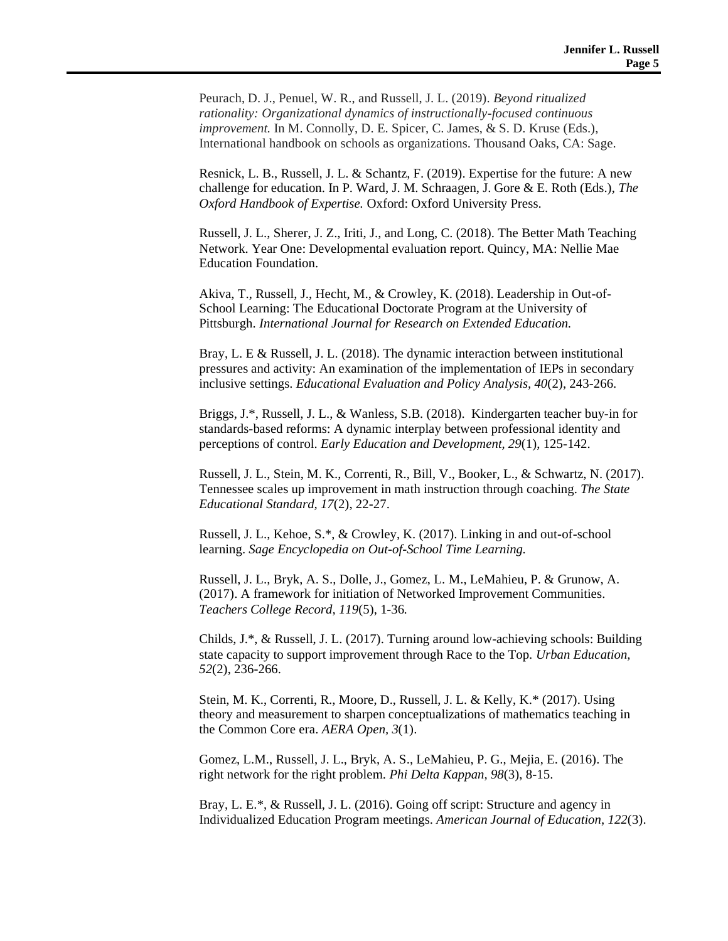Peurach, D. J., Penuel, W. R., and Russell, J. L. (2019). *Beyond ritualized rationality: Organizational dynamics of instructionally-focused continuous improvement.* In M. Connolly, D. E. Spicer, C. James, & S. D. Kruse (Eds.), International handbook on schools as organizations. Thousand Oaks, CA: Sage.

Resnick, L. B., Russell, J. L. & Schantz, F. (2019). Expertise for the future: A new challenge for education. In P. Ward, J. M. Schraagen, J. Gore & E. Roth (Eds.), *The Oxford Handbook of Expertise.* Oxford: Oxford University Press.

Russell, J. L., Sherer, J. Z., Iriti, J., and Long, C. (2018). The Better Math Teaching Network. Year One: Developmental evaluation report. Quincy, MA: Nellie Mae Education Foundation.

Akiva, T., Russell, J., Hecht, M., & Crowley, K. (2018). Leadership in Out-of-School Learning: The Educational Doctorate Program at the University of Pittsburgh. *International Journal for Research on Extended Education.*

Bray, L. E & Russell, J. L. (2018). The dynamic interaction between institutional pressures and activity: An examination of the implementation of IEPs in secondary inclusive settings. *Educational Evaluation and Policy Analysis, 40*(2), 243-266.

Briggs, J.\*, Russell, J. L., & Wanless, S.B. (2018). Kindergarten teacher buy-in for standards-based reforms: A dynamic interplay between professional identity and perceptions of control. *Early Education and Development, 29*(1), 125-142.

Russell, J. L., Stein, M. K., Correnti, R., Bill, V., Booker, L., & Schwartz, N. (2017). Tennessee scales up improvement in math instruction through coaching. *The State Educational Standard, 17*(2), 22-27.

Russell, J. L., Kehoe, S.\*, & Crowley, K. (2017). Linking in and out-of-school learning. *Sage Encyclopedia on Out-of-School Time Learning.*

Russell, J. L., Bryk, A. S., Dolle, J., Gomez, L. M., LeMahieu, P. & Grunow, A. (2017). A framework for initiation of Networked Improvement Communities. *Teachers College Record, 119*(5), 1-36*.*

Childs, J.\*, & Russell, J. L. (2017). Turning around low-achieving schools: Building state capacity to support improvement through Race to the Top. *Urban Education, 52*(2), 236-266.

Stein, M. K., Correnti, R., Moore, D., Russell, J. L. & Kelly, K.\* (2017). Using theory and measurement to sharpen conceptualizations of mathematics teaching in the Common Core era. *AERA Open, 3*(1).

Gomez, L.M., Russell, J. L., Bryk, A. S., LeMahieu, P. G., Mejia, E. (2016). The right network for the right problem. *Phi Delta Kappan, 98*(3), 8-15.

Bray, L. E.\*, & Russell, J. L. (2016). Going off script: Structure and agency in Individualized Education Program meetings. *American Journal of Education*, *122*(3).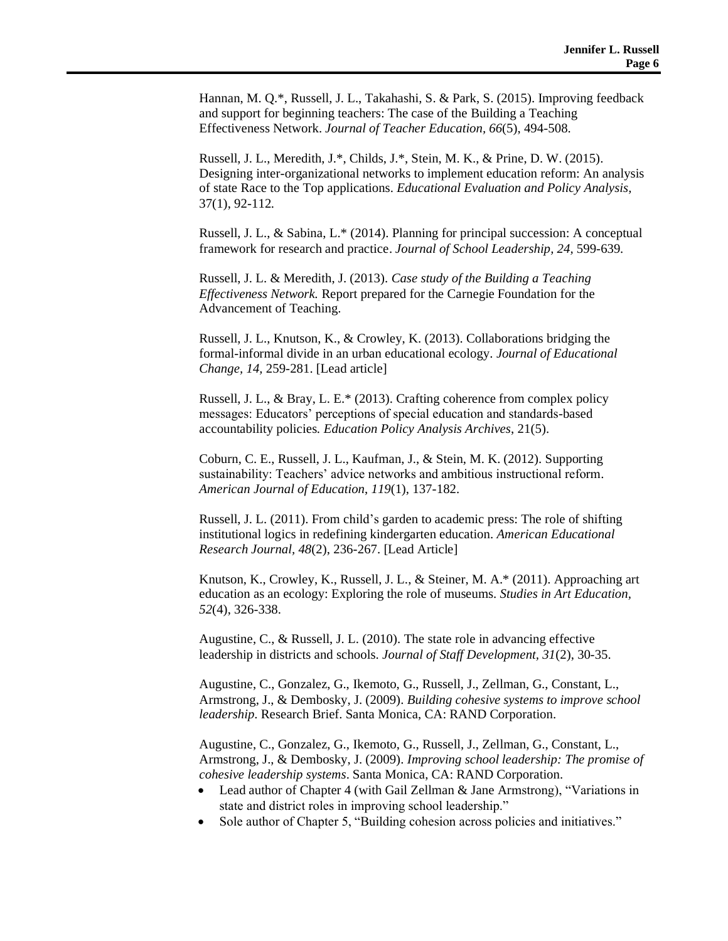Hannan, M. Q.\*, Russell, J. L., Takahashi, S. & Park, S. (2015). Improving feedback and support for beginning teachers: The case of the Building a Teaching Effectiveness Network. *Journal of Teacher Education, 66*(5), 494-508.

Russell, J. L., Meredith, J.\*, Childs, J.\*, Stein, M. K., & Prine, D. W. (2015). Designing inter-organizational networks to implement education reform: An analysis of state Race to the Top applications. *Educational Evaluation and Policy Analysis,*  37(1), 92-112*.*

Russell, J. L., & Sabina, L.\* (2014). Planning for principal succession: A conceptual framework for research and practice. *Journal of School Leadership, 24,* 599-639*.*

Russell, J. L. & Meredith, J. (2013). *Case study of the Building a Teaching Effectiveness Network.* Report prepared for the Carnegie Foundation for the Advancement of Teaching.

Russell, J. L., Knutson, K., & Crowley, K. (2013). Collaborations bridging the formal-informal divide in an urban educational ecology. *Journal of Educational Change, 14,* 259-281. [Lead article]

Russell, J. L., & Bray, L. E.\* (2013). Crafting coherence from complex policy messages: Educators' perceptions of special education and standards-based accountability policies*. Education Policy Analysis Archives*, 21(5).

Coburn, C. E., Russell, J. L., Kaufman, J., & Stein, M. K. (2012). Supporting sustainability: Teachers' advice networks and ambitious instructional reform. *American Journal of Education*, *119*(1), 137-182.

Russell, J. L. (2011). From child's garden to academic press: The role of shifting institutional logics in redefining kindergarten education. *American Educational Research Journal, 48*(2), 236-267. [Lead Article]

Knutson, K., Crowley, K., Russell, J. L., & Steiner, M. A.\* (2011). Approaching art education as an ecology: Exploring the role of museums. *Studies in Art Education, 52*(4), 326-338.

Augustine, C., & Russell, J. L. (2010). The state role in advancing effective leadership in districts and schools. *Journal of Staff Development, 31*(2), 30-35.

Augustine, C., Gonzalez, G., Ikemoto, G., Russell, J., Zellman, G., Constant, L., Armstrong, J., & Dembosky, J. (2009). *Building cohesive systems to improve school leadership*. Research Brief. Santa Monica, CA: RAND Corporation.

Augustine, C., Gonzalez, G., Ikemoto, G., Russell, J., Zellman, G., Constant, L., Armstrong, J., & Dembosky, J. (2009). *Improving school leadership: The promise of cohesive leadership systems*. Santa Monica, CA: RAND Corporation.

- Lead author of Chapter 4 (with Gail Zellman & Jane Armstrong), "Variations in state and district roles in improving school leadership."
- Sole author of Chapter 5, "Building cohesion across policies and initiatives."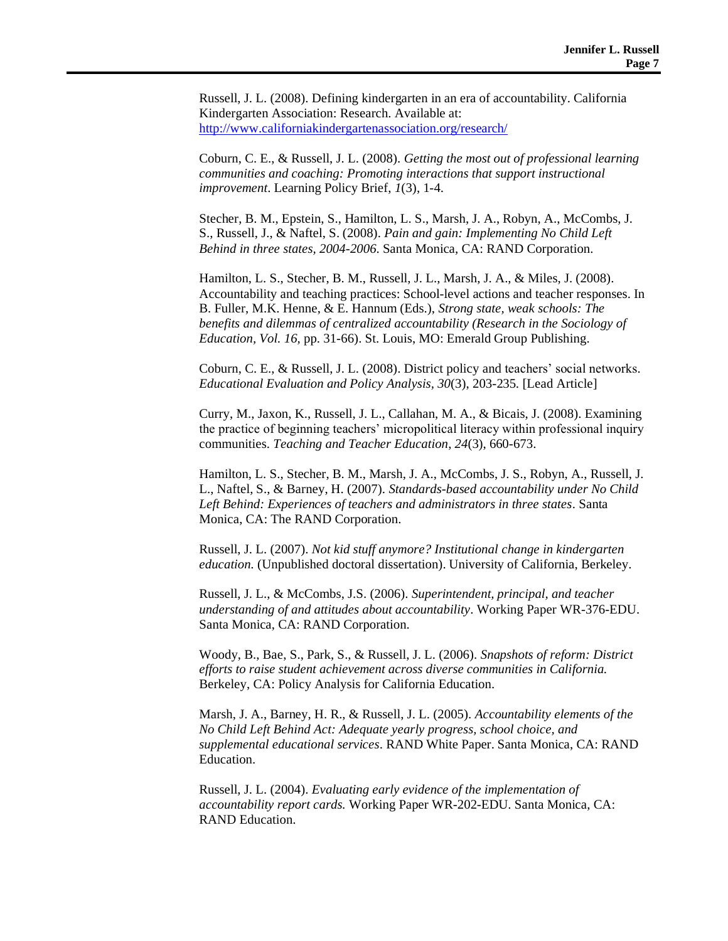Russell, J. L. (2008). Defining kindergarten in an era of accountability. California Kindergarten Association: Research. Available at: <http://www.californiakindergartenassociation.org/research/>

Coburn, C. E., & Russell, J. L. (2008). *Getting the most out of professional learning communities and coaching: Promoting interactions that support instructional improvement*. Learning Policy Brief, *1*(3), 1-4.

Stecher, B. M., Epstein, S., Hamilton, L. S., Marsh, J. A., Robyn, A., McCombs, J. S., Russell, J., & Naftel, S. (2008). *Pain and gain: Implementing No Child Left Behind in three states, 2004-2006*. Santa Monica, CA: RAND Corporation.

Hamilton, L. S., Stecher, B. M., Russell, J. L., Marsh, J. A., & Miles, J. (2008). Accountability and teaching practices: School-level actions and teacher responses. In B. Fuller, M.K. Henne, & E. Hannum (Eds.), *Strong state, weak schools: The benefits and dilemmas of centralized accountability (Research in the Sociology of Education, Vol. 16,* pp. 31-66). St. Louis, MO: Emerald Group Publishing.

Coburn, C. E., & Russell, J. L. (2008). District policy and teachers' social networks. *Educational Evaluation and Policy Analysis, 30*(3), 203-235*.* [Lead Article]

Curry, M., Jaxon, K., Russell, J. L., Callahan, M. A., & Bicais, J. (2008). Examining the practice of beginning teachers' micropolitical literacy within professional inquiry communities. *Teaching and Teacher Education*, *24*(3), 660-673.

Hamilton, L. S., Stecher, B. M., Marsh, J. A., McCombs, J. S., Robyn, A., Russell, J. L., Naftel, S., & Barney, H. (2007). *Standards-based accountability under No Child Left Behind: Experiences of teachers and administrators in three states*. Santa Monica, CA: The RAND Corporation.

Russell, J. L. (2007). *Not kid stuff anymore? Institutional change in kindergarten education.* (Unpublished doctoral dissertation). University of California, Berkeley.

Russell, J. L., & McCombs, J.S. (2006). *Superintendent, principal, and teacher understanding of and attitudes about accountability*. Working Paper WR-376-EDU. Santa Monica, CA: RAND Corporation.

Woody, B., Bae, S., Park, S., & Russell, J. L. (2006). *Snapshots of reform: District efforts to raise student achievement across diverse communities in California.* Berkeley, CA: Policy Analysis for California Education.

Marsh, J. A., Barney, H. R., & Russell, J. L. (2005). *Accountability elements of the No Child Left Behind Act: Adequate yearly progress, school choice, and supplemental educational services*. RAND White Paper. Santa Monica, CA: RAND Education.

Russell, J. L. (2004). *Evaluating early evidence of the implementation of accountability report cards.* Working Paper WR-202-EDU. Santa Monica, CA: RAND Education.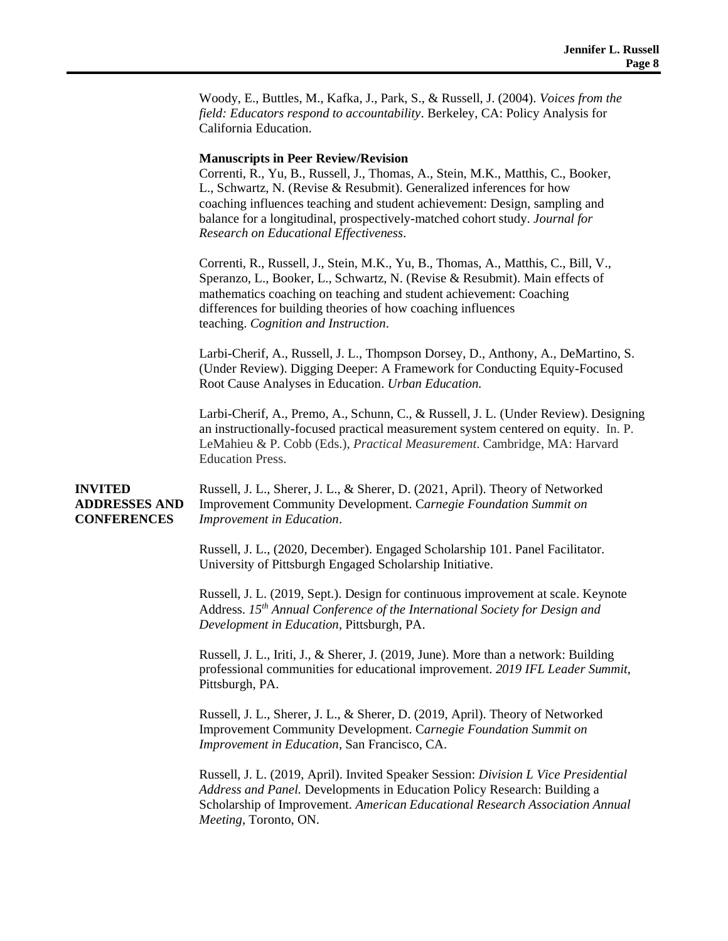Woody, E., Buttles, M., Kafka, J., Park, S., & Russell, J. (2004). *Voices from the field: Educators respond to accountability*. Berkeley, CA: Policy Analysis for California Education.

#### **Manuscripts in Peer Review/Revision**

Correnti, R., Yu, B., Russell, J., Thomas, A., Stein, M.K., Matthis, C., Booker, L., Schwartz, N. (Revise & Resubmit). Generalized inferences for how coaching influences teaching and student achievement: Design, sampling and balance for a longitudinal, prospectively-matched cohort study. *Journal for Research on Educational Effectiveness*.

Correnti, R., Russell, J., Stein, M.K., Yu, B., Thomas, A., Matthis, C., Bill, V., Speranzo, L., Booker, L., Schwartz, N. (Revise & Resubmit). Main effects of mathematics coaching on teaching and student achievement: Coaching differences for building theories of how coaching influences teaching. *Cognition and Instruction*.

Larbi-Cherif, A., Russell, J. L., Thompson Dorsey, D., Anthony, A., DeMartino, S. (Under Review). Digging Deeper: A Framework for Conducting Equity-Focused Root Cause Analyses in Education. *Urban Education.*

Larbi-Cherif, A., Premo, A., Schunn, C., & Russell, J. L. (Under Review). Designing an instructionally-focused practical measurement system centered on equity. In. P. LeMahieu & P. Cobb (Eds.), *Practical Measurement*. Cambridge, MA: Harvard Education Press.

#### **INVITED ADDRESSES AND CONFERENCES**

Russell, J. L., Sherer, J. L., & Sherer, D. (2021, April). Theory of Networked Improvement Community Development. C*arnegie Foundation Summit on Improvement in Education*.

Russell, J. L., (2020, December). Engaged Scholarship 101. Panel Facilitator. University of Pittsburgh Engaged Scholarship Initiative.

Russell, J. L. (2019, Sept.). Design for continuous improvement at scale. Keynote Address. *15th Annual Conference of the International Society for Design and Development in Education*, Pittsburgh, PA.

Russell, J. L., Iriti, J., & Sherer, J. (2019, June). More than a network: Building professional communities for educational improvement. *2019 IFL Leader Summit*, Pittsburgh, PA.

Russell, J. L., Sherer, J. L., & Sherer, D. (2019, April). Theory of Networked Improvement Community Development. C*arnegie Foundation Summit on Improvement in Education*, San Francisco, CA.

Russell, J. L. (2019, April). Invited Speaker Session: *Division L Vice Presidential Address and Panel.* Developments in Education Policy Research: Building a Scholarship of Improvement. *American Educational Research Association Annual Meeting*, Toronto, ON.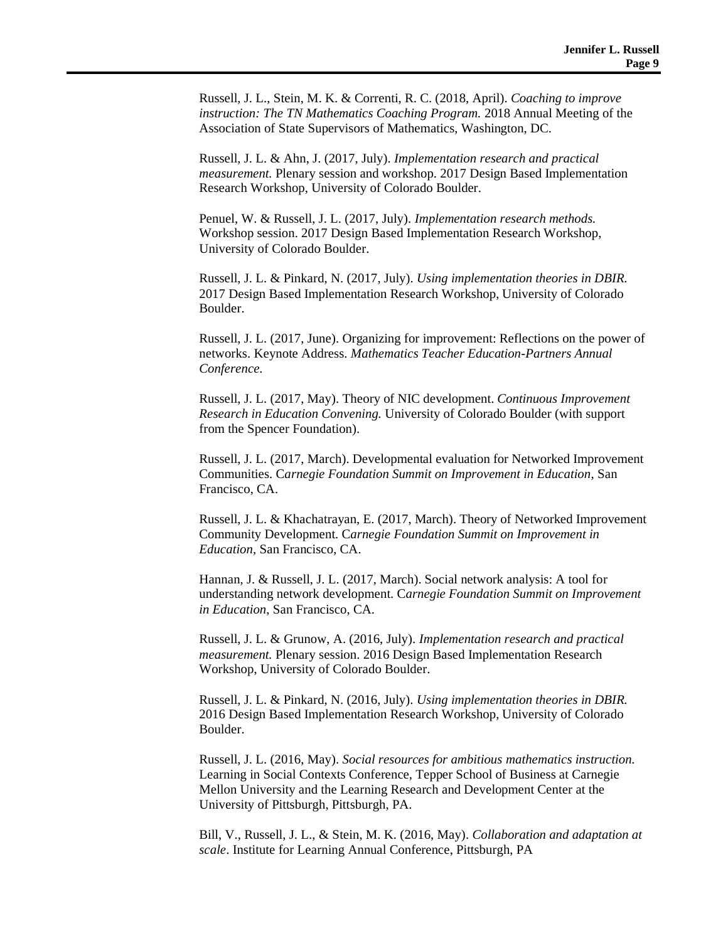Russell, J. L., Stein, M. K. & Correnti, R. C. (2018, April). *Coaching to improve instruction: The TN Mathematics Coaching Program.* 2018 Annual Meeting of the Association of State Supervisors of Mathematics, Washington, DC.

Russell, J. L. & Ahn, J. (2017, July). *Implementation research and practical measurement.* Plenary session and workshop. 2017 Design Based Implementation Research Workshop, University of Colorado Boulder.

Penuel, W. & Russell, J. L. (2017, July). *Implementation research methods.* Workshop session. 2017 Design Based Implementation Research Workshop, University of Colorado Boulder.

Russell, J. L. & Pinkard, N. (2017, July). *Using implementation theories in DBIR.* 2017 Design Based Implementation Research Workshop, University of Colorado Boulder.

Russell, J. L. (2017, June). Organizing for improvement: Reflections on the power of networks. Keynote Address. *Mathematics Teacher Education-Partners Annual Conference.* 

Russell, J. L. (2017, May). Theory of NIC development. *Continuous Improvement Research in Education Convening.* University of Colorado Boulder (with support from the Spencer Foundation).

Russell, J. L. (2017, March). Developmental evaluation for Networked Improvement Communities. C*arnegie Foundation Summit on Improvement in Education*, San Francisco, CA.

Russell, J. L. & Khachatrayan, E. (2017, March). Theory of Networked Improvement Community Development. C*arnegie Foundation Summit on Improvement in Education*, San Francisco, CA.

Hannan, J. & Russell, J. L. (2017, March). Social network analysis: A tool for understanding network development. C*arnegie Foundation Summit on Improvement in Education*, San Francisco, CA.

Russell, J. L. & Grunow, A. (2016, July). *Implementation research and practical measurement.* Plenary session. 2016 Design Based Implementation Research Workshop, University of Colorado Boulder.

Russell, J. L. & Pinkard, N. (2016, July). *Using implementation theories in DBIR.* 2016 Design Based Implementation Research Workshop, University of Colorado Boulder.

Russell, J. L. (2016, May). *Social resources for ambitious mathematics instruction.*  Learning in Social Contexts Conference, Tepper School of Business at Carnegie Mellon University and the Learning Research and Development Center at the University of Pittsburgh, Pittsburgh, PA.

Bill, V., Russell, J. L., & Stein, M. K. (2016, May). *Collaboration and adaptation at scale*. Institute for Learning Annual Conference, Pittsburgh, PA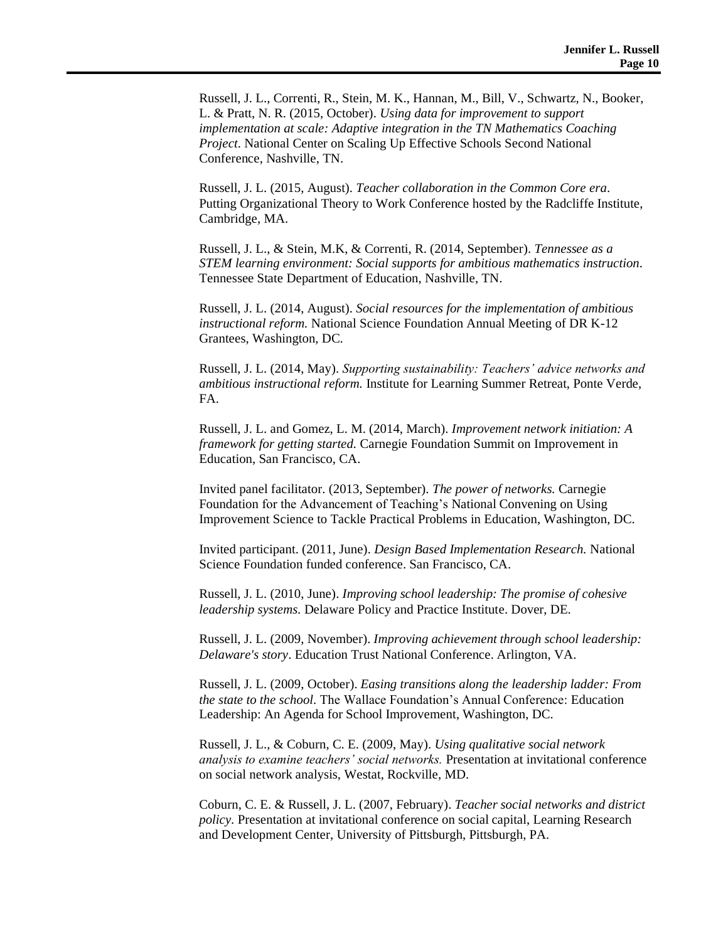Russell, J. L., Correnti, R., Stein, M. K., Hannan, M., Bill, V., Schwartz, N., Booker, L. & Pratt, N. R. (2015, October). *Using data for improvement to support implementation at scale: Adaptive integration in the TN Mathematics Coaching Project*. National Center on Scaling Up Effective Schools Second National Conference, Nashville, TN.

Russell, J. L. (2015, August). *Teacher collaboration in the Common Core era*. Putting Organizational Theory to Work Conference hosted by the Radcliffe Institute, Cambridge, MA.

Russell, J. L., & Stein, M.K, & Correnti, R. (2014, September). *Tennessee as a STEM learning environment: Social supports for ambitious mathematics instruction*. Tennessee State Department of Education, Nashville, TN.

Russell, J. L. (2014, August). *Social resources for the implementation of ambitious instructional reform.* National Science Foundation Annual Meeting of DR K-12 Grantees, Washington, DC.

Russell, J. L. (2014, May). *Supporting sustainability: Teachers' advice networks and ambitious instructional reform.* Institute for Learning Summer Retreat, Ponte Verde, FA.

Russell, J. L. and Gomez, L. M. (2014, March). *Improvement network initiation: A framework for getting started.* Carnegie Foundation Summit on Improvement in Education, San Francisco, CA.

Invited panel facilitator. (2013, September). *The power of networks.* Carnegie Foundation for the Advancement of Teaching's National Convening on Using Improvement Science to Tackle Practical Problems in Education, Washington, DC.

Invited participant. (2011, June). *Design Based Implementation Research.* National Science Foundation funded conference. San Francisco, CA.

Russell, J. L. (2010, June). *Improving school leadership: The promise of cohesive leadership systems.* Delaware Policy and Practice Institute. Dover, DE.

Russell, J. L. (2009, November). *Improving achievement through school leadership: Delaware's story*. Education Trust National Conference. Arlington, VA.

Russell, J. L. (2009, October). *Easing transitions along the leadership ladder: From the state to the school*. The Wallace Foundation's Annual Conference: Education Leadership: An Agenda for School Improvement, Washington, DC.

Russell, J. L., & Coburn, C. E. (2009, May). *Using qualitative social network analysis to examine teachers' social networks.* Presentation at invitational conference on social network analysis, Westat, Rockville, MD.

Coburn, C. E. & Russell, J. L. (2007, February). *Teacher social networks and district policy.* Presentation at invitational conference on social capital, Learning Research and Development Center, University of Pittsburgh, Pittsburgh, PA.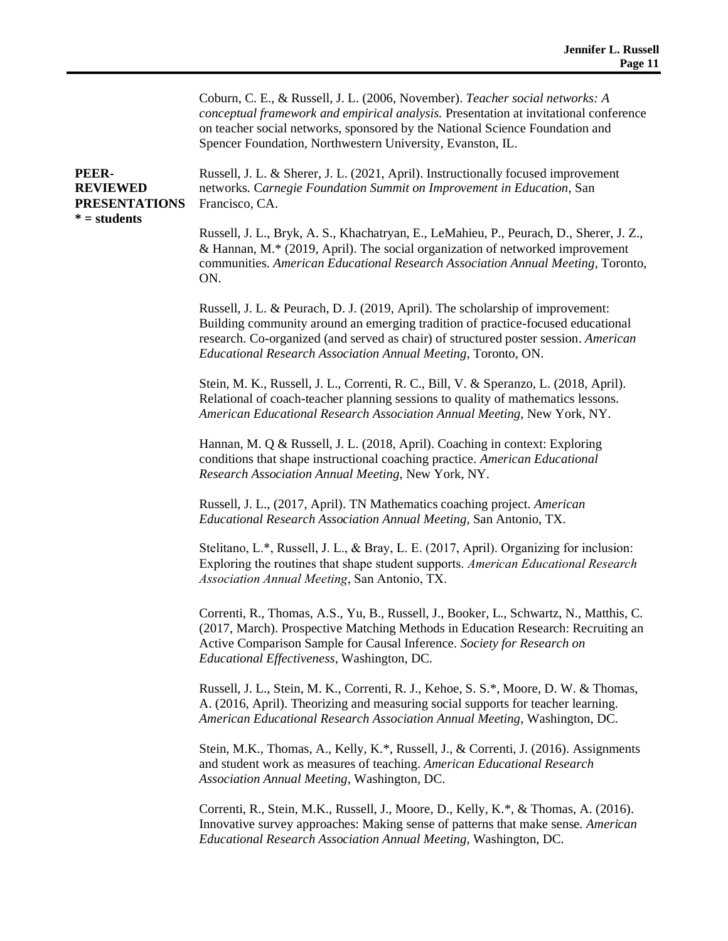Coburn, C. E., & Russell, J. L. (2006, November). *Teacher social networks: A conceptual framework and empirical analysis.* Presentation at invitational conference on teacher social networks, sponsored by the National Science Foundation and Spencer Foundation, Northwestern University, Evanston, IL. **PEER-REVIEWED PRESENTATIONS \* = students** Russell, J. L. & Sherer, J. L. (2021, April). Instructionally focused improvement networks*.* C*arnegie Foundation Summit on Improvement in Education*, San Francisco, CA. Russell, J. L., Bryk, A. S., Khachatryan, E., LeMahieu, P., Peurach, D., Sherer, J. Z., & Hannan, M.\* (2019, April). The social organization of networked improvement communities. *American Educational Research Association Annual Meeting*, Toronto, ON. Russell, J. L. & Peurach, D. J. (2019, April). The scholarship of improvement: Building community around an emerging tradition of practice-focused educational research. Co-organized (and served as chair) of structured poster session. *American Educational Research Association Annual Meeting*, Toronto, ON. Stein, M. K., Russell, J. L., Correnti, R. C., Bill, V. & Speranzo, L. (2018, April). Relational of coach-teacher planning sessions to quality of mathematics lessons. *American Educational Research Association Annual Meeting*, New York, NY. Hannan, M. Q & Russell, J. L. (2018, April). Coaching in context: Exploring conditions that shape instructional coaching practice. *American Educational Research Association Annual Meeting*, New York, NY. Russell, J. L., (2017, April). TN Mathematics coaching project. *American Educational Research Association Annual Meeting*, San Antonio, TX. Stelitano, L.\*, Russell, J. L., & Bray, L. E. (2017, April). Organizing for inclusion: Exploring the routines that shape student supports. *American Educational Research Association Annual Meeting*, San Antonio, TX. Correnti, R., Thomas, A.S., Yu, B., Russell, J., Booker, L., Schwartz, N., Matthis, C. (2017, March). Prospective Matching Methods in Education Research: Recruiting an Active Comparison Sample for Causal Inference. *Society for Research on Educational Effectiveness*, Washington, DC. Russell, J. L., Stein, M. K., Correnti, R. J., Kehoe, S. S.\*, Moore, D. W. & Thomas, A. (2016, April). Theorizing and measuring social supports for teacher learning. *American Educational Research Association Annual Meeting*, Washington, DC. Stein, M.K., Thomas, A., Kelly, K.\*, Russell, J., & Correnti, J. (2016). Assignments and student work as measures of teaching. *American Educational Research Association Annual Meeting*, Washington, DC. Correnti, R., Stein, M.K., Russell, J., Moore, D., Kelly, K.\*, & Thomas, A. (2016). Innovative survey approaches: Making sense of patterns that make sense*. American Educational Research Association Annual Meeting*, Washington, DC.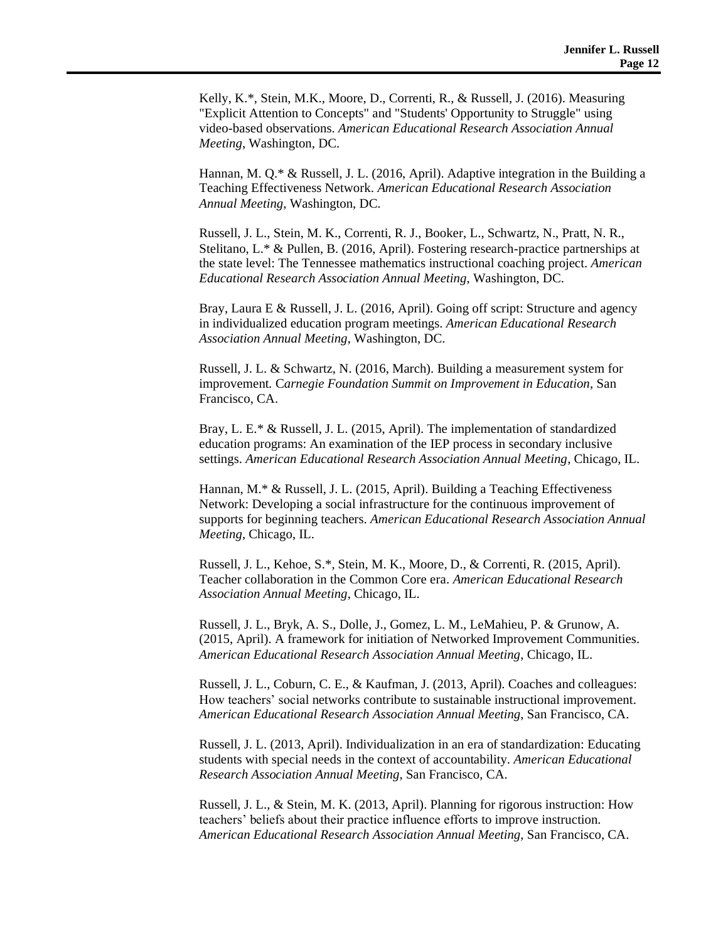Kelly, K.\*, Stein, M.K., Moore, D., Correnti, R., & Russell, J. (2016). Measuring "Explicit Attention to Concepts" and "Students' Opportunity to Struggle" using video-based observations. *American Educational Research Association Annual Meeting*, Washington, DC.

Hannan, M. Q.\* & Russell, J. L. (2016, April). Adaptive integration in the Building a Teaching Effectiveness Network. *American Educational Research Association Annual Meeting*, Washington, DC.

Russell, J. L., Stein, M. K., Correnti, R. J., Booker, L., Schwartz, N., Pratt, N. R., Stelitano, L.\* & Pullen, B. (2016, April). Fostering research-practice partnerships at the state level: The Tennessee mathematics instructional coaching project. *American Educational Research Association Annual Meeting*, Washington, DC.

Bray, Laura E & Russell, J. L. (2016, April). Going off script: Structure and agency in individualized education program meetings. *American Educational Research Association Annual Meeting*, Washington, DC.

Russell, J. L. & Schwartz, N. (2016, March). Building a measurement system for improvement*.* C*arnegie Foundation Summit on Improvement in Education*, San Francisco, CA.

Bray, L. E.\* & Russell, J. L. (2015, April). The implementation of standardized education programs: An examination of the IEP process in secondary inclusive settings. *American Educational Research Association Annual Meeting*, Chicago, IL.

Hannan, M.\* & Russell, J. L. (2015, April). Building a Teaching Effectiveness Network: Developing a social infrastructure for the continuous improvement of supports for beginning teachers. *American Educational Research Association Annual Meeting*, Chicago, IL.

Russell, J. L., Kehoe, S.\*, Stein, M. K., Moore, D., & Correnti, R. (2015, April). Teacher collaboration in the Common Core era. *American Educational Research Association Annual Meeting*, Chicago, IL.

Russell, J. L., Bryk, A. S., Dolle, J., Gomez, L. M., LeMahieu, P. & Grunow, A. (2015, April). A framework for initiation of Networked Improvement Communities. *American Educational Research Association Annual Meeting*, Chicago, IL.

Russell, J. L., Coburn, C. E., & Kaufman, J. (2013, April). Coaches and colleagues: How teachers' social networks contribute to sustainable instructional improvement. *American Educational Research Association Annual Meeting*, San Francisco, CA.

Russell, J. L. (2013, April). Individualization in an era of standardization: Educating students with special needs in the context of accountability. *American Educational Research Association Annual Meeting*, San Francisco, CA.

Russell, J. L., & Stein, M. K. (2013, April). Planning for rigorous instruction: How teachers' beliefs about their practice influence efforts to improve instruction. *American Educational Research Association Annual Meeting*, San Francisco, CA.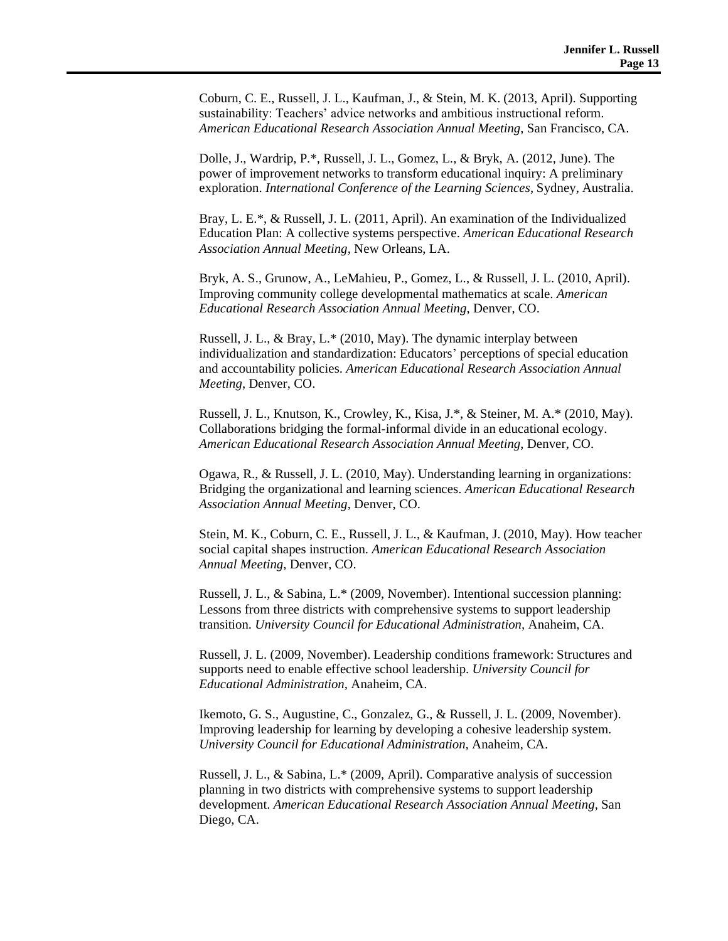Coburn, C. E., Russell, J. L., Kaufman, J., & Stein, M. K. (2013, April). Supporting sustainability: Teachers' advice networks and ambitious instructional reform. *American Educational Research Association Annual Meeting*, San Francisco, CA.

Dolle, J., Wardrip, P.\*, Russell, J. L., Gomez, L., & Bryk, A. (2012, June). The power of improvement networks to transform educational inquiry: A preliminary exploration. *International Conference of the Learning Sciences*, Sydney, Australia.

Bray, L. E.\*, & Russell, J. L. (2011, April). An examination of the Individualized Education Plan: A collective systems perspective. *American Educational Research Association Annual Meeting,* New Orleans, LA.

Bryk, A. S., Grunow, A., LeMahieu, P., Gomez, L., & Russell, J. L. (2010, April). Improving community college developmental mathematics at scale. *American Educational Research Association Annual Meeting*, Denver, CO.

Russell, J. L., & Bray, L.\* (2010, May). The dynamic interplay between individualization and standardization: Educators' perceptions of special education and accountability policies. *American Educational Research Association Annual Meeting*, Denver, CO.

Russell, J. L., Knutson, K., Crowley, K., Kisa, J.\*, & Steiner, M. A.\* (2010, May). Collaborations bridging the formal-informal divide in an educational ecology. *American Educational Research Association Annual Meeting*, Denver, CO.

Ogawa, R., & Russell, J. L. (2010, May). Understanding learning in organizations: Bridging the organizational and learning sciences. *American Educational Research Association Annual Meeting*, Denver, CO.

Stein, M. K., Coburn, C. E., Russell, J. L., & Kaufman, J. (2010, May). How teacher social capital shapes instruction. *American Educational Research Association Annual Meeting*, Denver, CO.

Russell, J. L., & Sabina, L.\* (2009, November). Intentional succession planning: Lessons from three districts with comprehensive systems to support leadership transition. *University Council for Educational Administration,* Anaheim, CA.

Russell, J. L. (2009, November). Leadership conditions framework: Structures and supports need to enable effective school leadership. *University Council for Educational Administration,* Anaheim, CA.

Ikemoto, G. S., Augustine, C., Gonzalez, G., & Russell, J. L. (2009, November). Improving leadership for learning by developing a cohesive leadership system. *University Council for Educational Administration,* Anaheim, CA.

Russell, J. L., & Sabina, L.\* (2009, April). Comparative analysis of succession planning in two districts with comprehensive systems to support leadership development. *American Educational Research Association Annual Meeting*, San Diego, CA.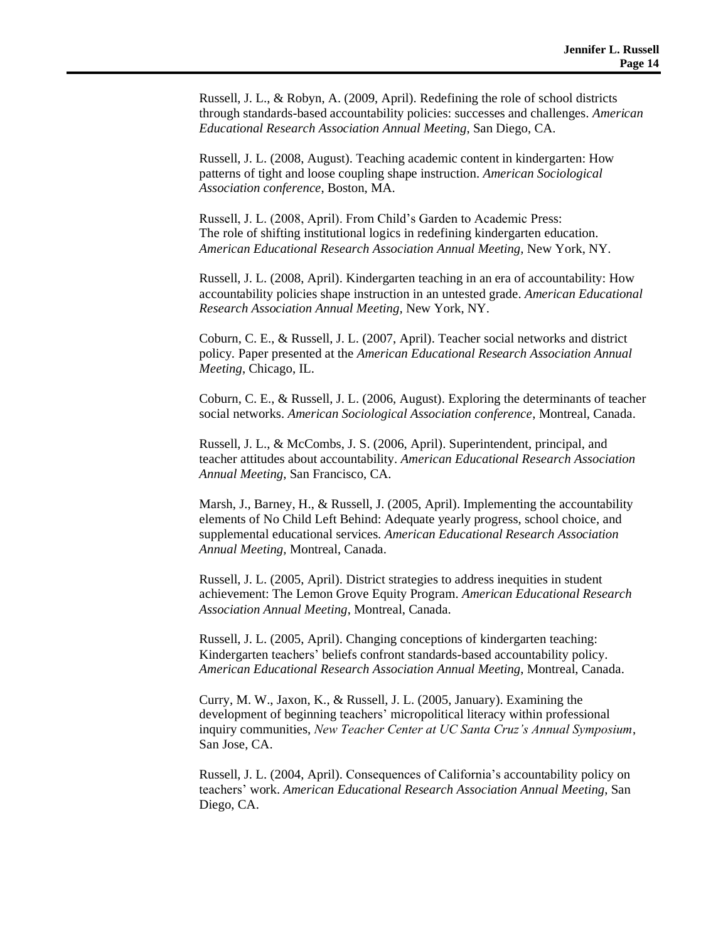Russell, J. L., & Robyn, A. (2009, April). Redefining the role of school districts through standards-based accountability policies: successes and challenges. *American Educational Research Association Annual Meeting*, San Diego, CA.

Russell, J. L. (2008, August). Teaching academic content in kindergarten: How patterns of tight and loose coupling shape instruction. *American Sociological Association conference*, Boston, MA.

Russell, J. L. (2008, April). From Child's Garden to Academic Press: The role of shifting institutional logics in redefining kindergarten education. *American Educational Research Association Annual Meeting,* New York, NY.

Russell, J. L. (2008, April). Kindergarten teaching in an era of accountability: How accountability policies shape instruction in an untested grade. *American Educational Research Association Annual Meeting,* New York, NY.

Coburn, C. E., & Russell, J. L. (2007, April). Teacher social networks and district policy*.* Paper presented at the *American Educational Research Association Annual Meeting*, Chicago, IL.

Coburn, C. E., & Russell, J. L. (2006, August). Exploring the determinants of teacher social networks. *American Sociological Association conference*, Montreal, Canada.

Russell, J. L., & McCombs, J. S. (2006, April). Superintendent, principal, and teacher attitudes about accountability. *American Educational Research Association Annual Meeting*, San Francisco, CA.

Marsh, J., Barney, H., & Russell, J. (2005, April). Implementing the accountability elements of No Child Left Behind: Adequate yearly progress, school choice, and supplemental educational services*. American Educational Research Association Annual Meeting,* Montreal, Canada.

Russell, J. L. (2005, April). District strategies to address inequities in student achievement: The Lemon Grove Equity Program. *American Educational Research Association Annual Meeting*, Montreal, Canada.

Russell, J. L. (2005, April). Changing conceptions of kindergarten teaching: Kindergarten teachers' beliefs confront standards-based accountability policy. *American Educational Research Association Annual Meeting*, Montreal, Canada.

Curry, M. W., Jaxon, K., & Russell, J. L. (2005, January). Examining the development of beginning teachers' micropolitical literacy within professional inquiry communities, *New Teacher Center at UC Santa Cruz's Annual Symposium*, San Jose, CA.

Russell, J. L. (2004, April). Consequences of California's accountability policy on teachers' work. *American Educational Research Association Annual Meeting*, San Diego, CA.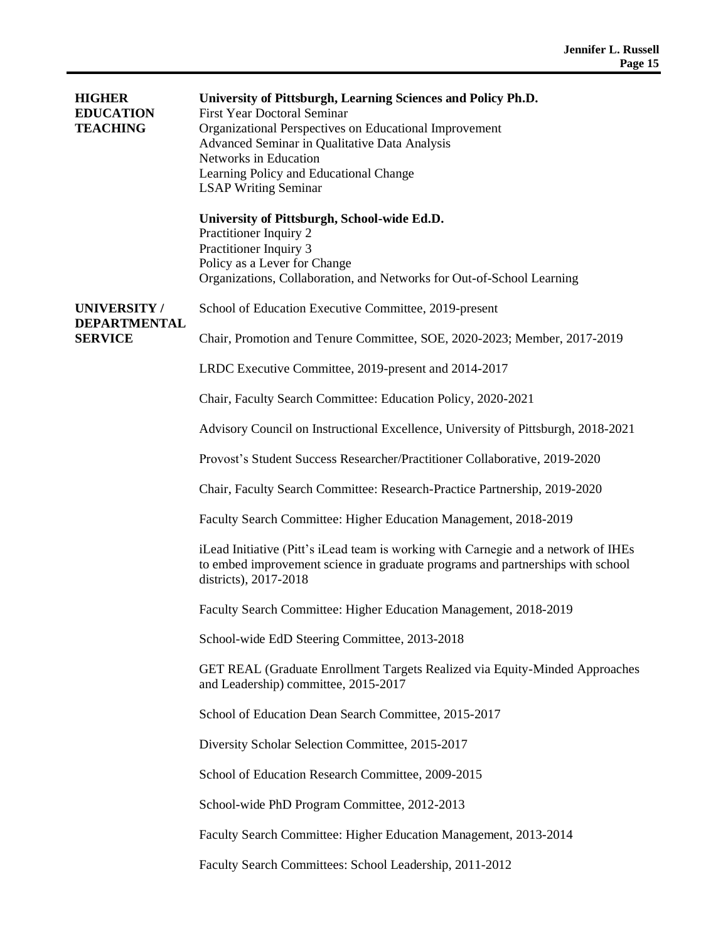| <b>HIGHER</b><br><b>EDUCATION</b><br><b>TEACHING</b>        | University of Pittsburgh, Learning Sciences and Policy Ph.D.<br><b>First Year Doctoral Seminar</b><br>Organizational Perspectives on Educational Improvement<br>Advanced Seminar in Qualitative Data Analysis<br>Networks in Education<br>Learning Policy and Educational Change<br><b>LSAP Writing Seminar</b> |
|-------------------------------------------------------------|-----------------------------------------------------------------------------------------------------------------------------------------------------------------------------------------------------------------------------------------------------------------------------------------------------------------|
|                                                             | University of Pittsburgh, School-wide Ed.D.<br>Practitioner Inquiry 2<br>Practitioner Inquiry 3<br>Policy as a Lever for Change<br>Organizations, Collaboration, and Networks for Out-of-School Learning                                                                                                        |
| <b>UNIVERSITY/</b><br><b>DEPARTMENTAL</b><br><b>SERVICE</b> | School of Education Executive Committee, 2019-present                                                                                                                                                                                                                                                           |
|                                                             | Chair, Promotion and Tenure Committee, SOE, 2020-2023; Member, 2017-2019                                                                                                                                                                                                                                        |
|                                                             | LRDC Executive Committee, 2019-present and 2014-2017                                                                                                                                                                                                                                                            |
|                                                             | Chair, Faculty Search Committee: Education Policy, 2020-2021                                                                                                                                                                                                                                                    |
|                                                             | Advisory Council on Instructional Excellence, University of Pittsburgh, 2018-2021                                                                                                                                                                                                                               |
|                                                             | Provost's Student Success Researcher/Practitioner Collaborative, 2019-2020                                                                                                                                                                                                                                      |
|                                                             | Chair, Faculty Search Committee: Research-Practice Partnership, 2019-2020                                                                                                                                                                                                                                       |
|                                                             | Faculty Search Committee: Higher Education Management, 2018-2019                                                                                                                                                                                                                                                |
|                                                             | iLead Initiative (Pitt's iLead team is working with Carnegie and a network of IHEs<br>to embed improvement science in graduate programs and partnerships with school<br>districts), 2017-2018                                                                                                                   |
|                                                             | Faculty Search Committee: Higher Education Management, 2018-2019                                                                                                                                                                                                                                                |
|                                                             | School-wide EdD Steering Committee, 2013-2018                                                                                                                                                                                                                                                                   |
|                                                             | GET REAL (Graduate Enrollment Targets Realized via Equity-Minded Approaches<br>and Leadership) committee, 2015-2017                                                                                                                                                                                             |
|                                                             | School of Education Dean Search Committee, 2015-2017                                                                                                                                                                                                                                                            |
|                                                             | Diversity Scholar Selection Committee, 2015-2017                                                                                                                                                                                                                                                                |
|                                                             | School of Education Research Committee, 2009-2015                                                                                                                                                                                                                                                               |
|                                                             | School-wide PhD Program Committee, 2012-2013                                                                                                                                                                                                                                                                    |
|                                                             | Faculty Search Committee: Higher Education Management, 2013-2014                                                                                                                                                                                                                                                |
|                                                             | Faculty Search Committees: School Leadership, 2011-2012                                                                                                                                                                                                                                                         |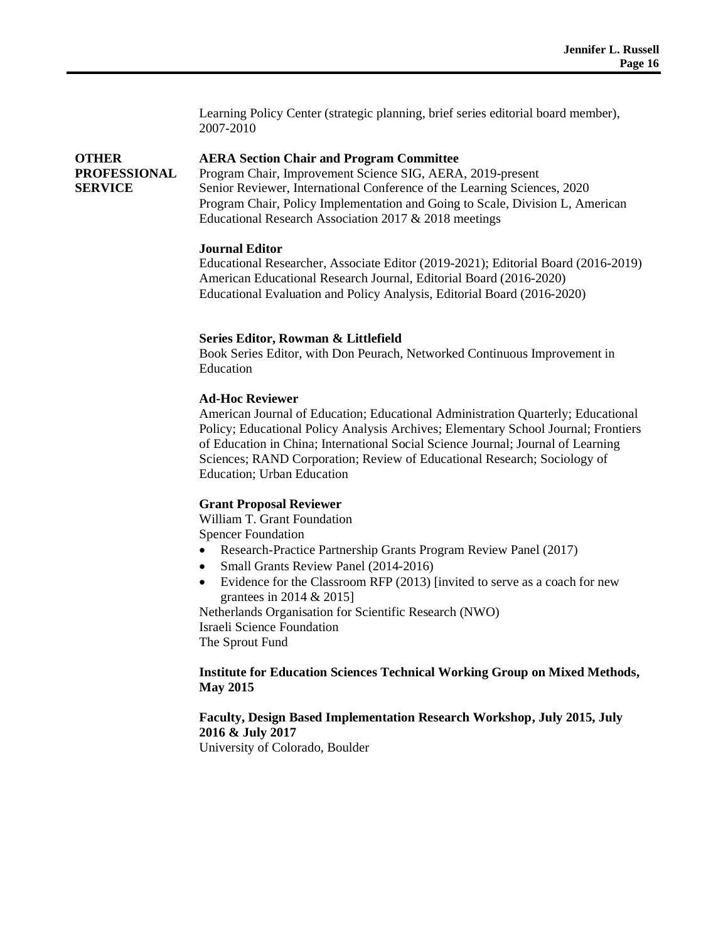Learning Policy Center (strategic planning, brief series editorial board member), 2007-2010

#### **OTHER AERA Section Chair and Program Committee**

Program Chair, Improvement Science SIG, AERA, 2019-present Senior Reviewer, International Conference of the Learning Sciences, 2020 Program Chair, Policy Implementation and Going to Scale, Division L, American Educational Research Association 2017 & 2018 meetings

# **Journal Editor**

**PROFESSIONAL** 

**SERVICE**

Educational Researcher, Associate Editor (2019-2021); Editorial Board (2016-2019) American Educational Research Journal, Editorial Board (2016-2020) Educational Evaluation and Policy Analysis, Editorial Board (2016-2020)

# **Series Editor, Rowman & Littlefield**

Book Series Editor, with Don Peurach, Networked Continuous Improvement in Education

# **Ad-Hoc Reviewer**

American Journal of Education; Educational Administration Quarterly; Educational Policy; Educational Policy Analysis Archives; Elementary School Journal; Frontiers of Education in China; International Social Science Journal; Journal of Learning Sciences; RAND Corporation; Review of Educational Research; Sociology of Education; Urban Education

#### **Grant Proposal Reviewer**

William T. Grant Foundation Spencer Foundation

- Research-Practice Partnership Grants Program Review Panel (2017)
- Small Grants Review Panel (2014-2016)
- Evidence for the Classroom RFP (2013) [invited to serve as a coach for new grantees in 2014 & 2015]

Netherlands Organisation for Scientific Research (NWO) Israeli Science Foundation The Sprout Fund

#### **Institute for Education Sciences Technical Working Group on Mixed Methods, May 2015**

# **Faculty, Design Based Implementation Research Workshop, July 2015, July 2016 & July 2017**

University of Colorado, Boulder